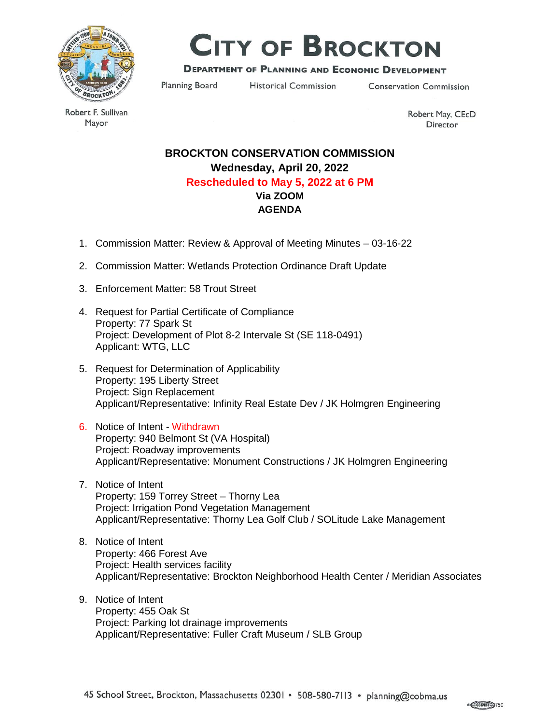

# **CITY OF BROCKTON**

## **DEPARTMENT OF PLANNING AND ECONOMIC DEVELOPMENT**

Planning Board

**Historical Commission** 

**Conservation Commission** 

Robert F. Sullivan Mayor

Robert May, CEcD Director

## **BROCKTON CONSERVATION COMMISSION Wednesday, April 20, 2022 Rescheduled to May 5, 2022 at 6 PM Via ZOOM AGENDA**

- 1. Commission Matter: Review & Approval of Meeting Minutes 03-16-22
- 2. Commission Matter: Wetlands Protection Ordinance Draft Update
- 3. Enforcement Matter: 58 Trout Street
- 4. Request for Partial Certificate of Compliance Property: 77 Spark St Project: Development of Plot 8-2 Intervale St (SE 118-0491) Applicant: WTG, LLC
- 5. Request for Determination of Applicability Property: 195 Liberty Street Project: Sign Replacement Applicant/Representative: Infinity Real Estate Dev / JK Holmgren Engineering
- 6. Notice of Intent Withdrawn Property: 940 Belmont St (VA Hospital) Project: Roadway improvements Applicant/Representative: Monument Constructions / JK Holmgren Engineering
- 7. Notice of Intent Property: 159 Torrey Street – Thorny Lea Project: Irrigation Pond Vegetation Management Applicant/Representative: Thorny Lea Golf Club / SOLitude Lake Management
- 8. Notice of Intent Property: 466 Forest Ave Project: Health services facility Applicant/Representative: Brockton Neighborhood Health Center / Meridian Associates
- 9. Notice of Intent Property: 455 Oak St Project: Parking lot drainage improvements Applicant/Representative: Fuller Craft Museum / SLB Group